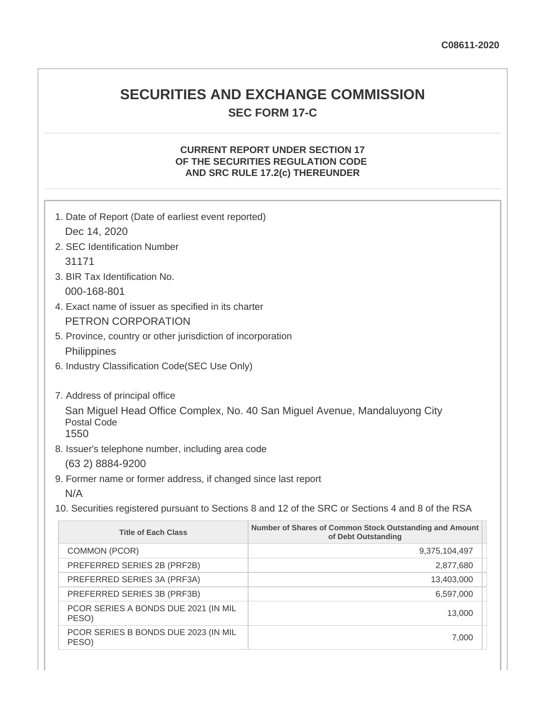# **SECURITIES AND EXCHANGE COMMISSION SEC FORM 17-C**

## **CURRENT REPORT UNDER SECTION 17 OF THE SECURITIES REGULATION CODE AND SRC RULE 17.2(c) THEREUNDER**

| 1. Date of Report (Date of earliest event reported)                                               |                                                                                |  |
|---------------------------------------------------------------------------------------------------|--------------------------------------------------------------------------------|--|
| Dec 14, 2020                                                                                      |                                                                                |  |
| 2. SEC Identification Number                                                                      |                                                                                |  |
| 31171                                                                                             |                                                                                |  |
| 3. BIR Tax Identification No.                                                                     |                                                                                |  |
| 000-168-801                                                                                       |                                                                                |  |
| 4. Exact name of issuer as specified in its charter                                               |                                                                                |  |
| PETRON CORPORATION                                                                                |                                                                                |  |
| 5. Province, country or other jurisdiction of incorporation                                       |                                                                                |  |
| Philippines                                                                                       |                                                                                |  |
| 6. Industry Classification Code(SEC Use Only)                                                     |                                                                                |  |
|                                                                                                   |                                                                                |  |
| 7. Address of principal office                                                                    |                                                                                |  |
|                                                                                                   | San Miguel Head Office Complex, No. 40 San Miguel Avenue, Mandaluyong City     |  |
| <b>Postal Code</b>                                                                                |                                                                                |  |
| 1550                                                                                              |                                                                                |  |
| 8. Issuer's telephone number, including area code                                                 |                                                                                |  |
| (63 2) 8884-9200                                                                                  |                                                                                |  |
| 9. Former name or former address, if changed since last report                                    |                                                                                |  |
| N/A                                                                                               |                                                                                |  |
| 10. Securities registered pursuant to Sections 8 and 12 of the SRC or Sections 4 and 8 of the RSA |                                                                                |  |
| <b>Title of Each Class</b>                                                                        | Number of Shares of Common Stock Outstanding and Amount<br>of Debt Outstanding |  |
| COMMON (PCOR)                                                                                     | 9,375,104,497                                                                  |  |
| PREFERRED SERIES 2B (PRF2B)                                                                       | 2,877,680                                                                      |  |
| PREFERRED SERIES 3A (PRF3A)                                                                       | 13,403,000                                                                     |  |

PREFERRED SERIES 3B (PRF3B) 6,597,000

PCOR SERIES A BONDS DUE 2021 (IN MIL PESO) 13,000

PCOR SERIES B BONDS DUE 2023 (IN MIL PESO) 7,000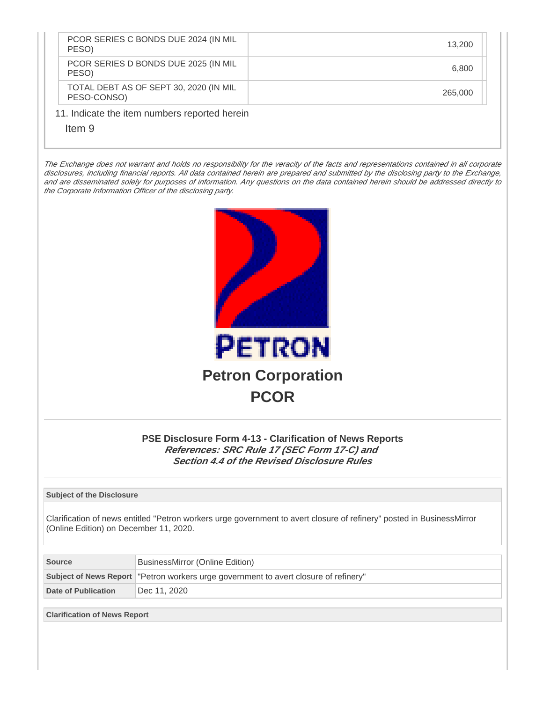| PCOR SERIES C BONDS DUE 2024 (IN MIL<br>PESO)           | 13.200  |
|---------------------------------------------------------|---------|
| PCOR SERIES D BONDS DUE 2025 (IN MIL<br>PESO)           | 6.800   |
| TOTAL DEBT AS OF SEPT 30, 2020 (IN MIL<br>PESO-CONSO)   | 265,000 |
| 11. Indicate the item numbers reported herein<br>Item 9 |         |

The Exchange does not warrant and holds no responsibility for the veracity of the facts and representations contained in all corporate disclosures, including financial reports. All data contained herein are prepared and submitted by the disclosing party to the Exchange, and are disseminated solely for purposes of information. Any questions on the data contained herein should be addressed directly to the Corporate Information Officer of the disclosing party.



## **PSE Disclosure Form 4-13 - Clarification of News Reports References: SRC Rule 17 (SEC Form 17-C) and Section 4.4 of the Revised Disclosure Rules**

#### **Subject of the Disclosure**

Clarification of news entitled "Petron workers urge government to avert closure of refinery" posted in BusinessMirror (Online Edition) on December 11, 2020.

| <b>Source</b>       | BusinessMirror (Online Edition)                                                     |  |
|---------------------|-------------------------------------------------------------------------------------|--|
|                     | Subject of News Report Tetron workers urge government to avert closure of refinery" |  |
| Date of Publication | Dec 11, 2020                                                                        |  |

**Clarification of News Report**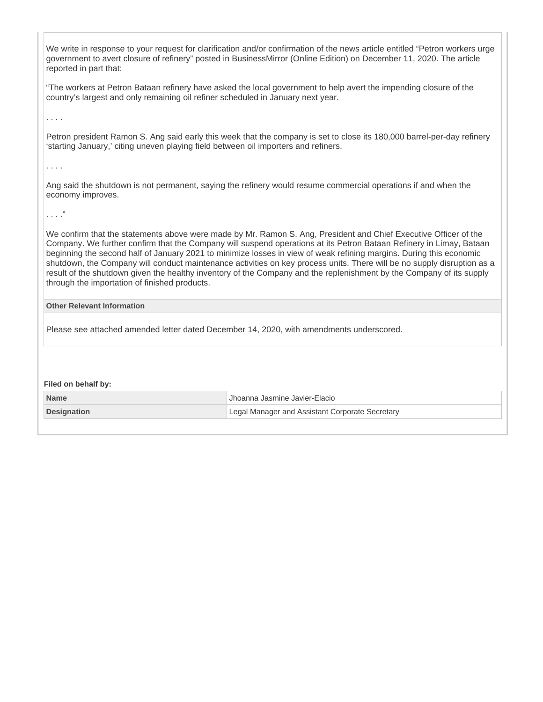We write in response to your request for clarification and/or confirmation of the news article entitled "Petron workers urge government to avert closure of refinery" posted in BusinessMirror (Online Edition) on December 11, 2020. The article reported in part that:

"The workers at Petron Bataan refinery have asked the local government to help avert the impending closure of the country's largest and only remaining oil refiner scheduled in January next year.

. . . .

Petron president Ramon S. Ang said early this week that the company is set to close its 180,000 barrel-per-day refinery 'starting January,' citing uneven playing field between oil importers and refiners.

. . . .

Ang said the shutdown is not permanent, saying the refinery would resume commercial operations if and when the economy improves.

. . . ."

We confirm that the statements above were made by Mr. Ramon S. Ang, President and Chief Executive Officer of the Company. We further confirm that the Company will suspend operations at its Petron Bataan Refinery in Limay, Bataan beginning the second half of January 2021 to minimize losses in view of weak refining margins. During this economic shutdown, the Company will conduct maintenance activities on key process units. There will be no supply disruption as a result of the shutdown given the healthy inventory of the Company and the replenishment by the Company of its supply through the importation of finished products.

### **Other Relevant Information**

Please see attached amended letter dated December 14, 2020, with amendments underscored.

#### **Filed on behalf by:**

| <b>Name</b>        | Jhoanna Jasmine Javier-Elacio                   |
|--------------------|-------------------------------------------------|
| <b>Designation</b> | Legal Manager and Assistant Corporate Secretary |